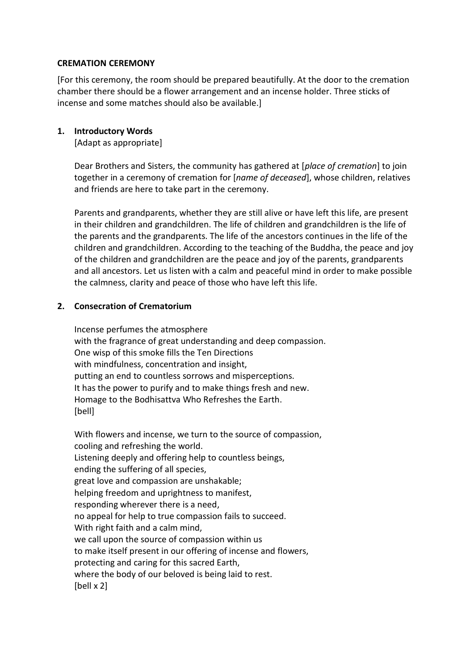### **CREMATION CEREMONY**

[For this ceremony, the room should be prepared beautifully. At the door to the cremation chamber there should be a flower arrangement and an incense holder. Three sticks of incense and some matches should also be available.]

### **1. Introductory Words**

[Adapt as appropriate]

Dear Brothers and Sisters, the community has gathered at [*place of cremation*] to join together in a ceremony of cremation for [*name of deceased*], whose children, relatives and friends are here to take part in the ceremony.

Parents and grandparents, whether they are still alive or have left this life, are present in their children and grandchildren. The life of children and grandchildren is the life of the parents and the grandparents. The life of the ancestors continues in the life of the children and grandchildren. According to the teaching of the Buddha, the peace and joy of the children and grandchildren are the peace and joy of the parents, grandparents and all ancestors. Let us listen with a calm and peaceful mind in order to make possible the calmness, clarity and peace of those who have left this life.

### **2. Consecration of Crematorium**

Incense perfumes the atmosphere with the fragrance of great understanding and deep compassion. One wisp of this smoke fills the Ten Directions with mindfulness, concentration and insight, putting an end to countless sorrows and misperceptions. It has the power to purify and to make things fresh and new. Homage to the Bodhisattva Who Refreshes the Earth. [bell]

With flowers and incense, we turn to the source of compassion, cooling and refreshing the world. Listening deeply and offering help to countless beings, ending the suffering of all species, great love and compassion are unshakable; helping freedom and uprightness to manifest, responding wherever there is a need, no appeal for help to true compassion fails to succeed. With right faith and a calm mind, we call upon the source of compassion within us to make itself present in our offering of incense and flowers, protecting and caring for this sacred Earth, where the body of our beloved is being laid to rest. [bell x 2]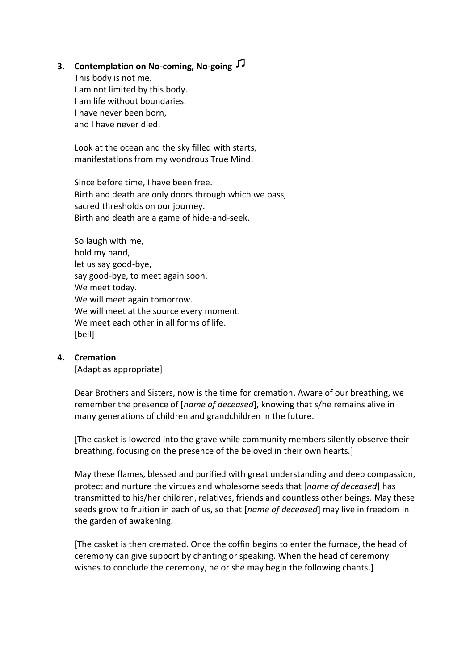## **3. Contemplation on No-coming, No-going**

This body is not me. I am not limited by this body. I am life without boundaries. I have never been born, and I have never died.

Look at the ocean and the sky filled with starts, manifestations from my wondrous True Mind.

Since before time, I have been free. Birth and death are only doors through which we pass, sacred thresholds on our journey. Birth and death are a game of hide-and-seek.

So laugh with me, hold my hand, let us say good-bye, say good-bye, to meet again soon. We meet today. We will meet again tomorrow. We will meet at the source every moment. We meet each other in all forms of life. [bell]

### **4. Cremation**

[Adapt as appropriate]

Dear Brothers and Sisters, now is the time for cremation. Aware of our breathing, we remember the presence of [*name of deceased*], knowing that s/he remains alive in many generations of children and grandchildren in the future.

[The casket is lowered into the grave while community members silently observe their breathing, focusing on the presence of the beloved in their own hearts.]

May these flames, blessed and purified with great understanding and deep compassion, protect and nurture the virtues and wholesome seeds that [*name of deceased*] has transmitted to his/her children, relatives, friends and countless other beings. May these seeds grow to fruition in each of us, so that [*name of deceased*] may live in freedom in the garden of awakening.

[The casket is then cremated. Once the coffin begins to enter the furnace, the head of ceremony can give support by chanting or speaking. When the head of ceremony wishes to conclude the ceremony, he or she may begin the following chants.]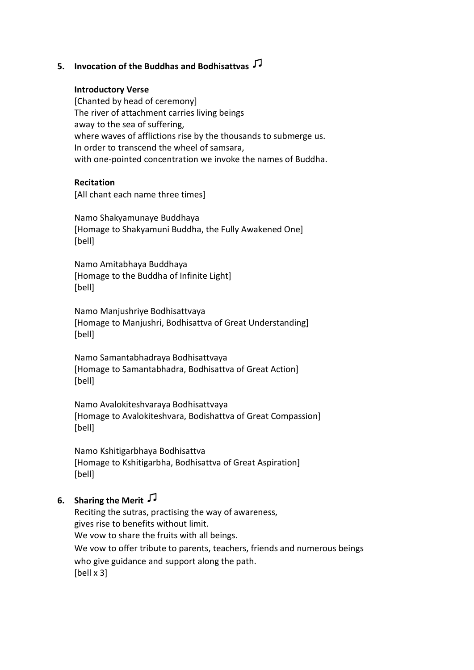## **5. Invocation of the Buddhas and Bodhisattvas**

#### **Introductory Verse**

[Chanted by head of ceremony] The river of attachment carries living beings away to the sea of suffering, where waves of afflictions rise by the thousands to submerge us. In order to transcend the wheel of samsara, with one-pointed concentration we invoke the names of Buddha.

#### **Recitation**

[All chant each name three times]

Namo Shakyamunaye Buddhaya [Homage to Shakyamuni Buddha, the Fully Awakened One] [bell]

Namo Amitabhaya Buddhaya [Homage to the Buddha of Infinite Light] [bell]

Namo Manjushriye Bodhisattvaya [Homage to Manjushri, Bodhisattva of Great Understanding] [bell]

Namo Samantabhadraya Bodhisattvaya [Homage to Samantabhadra, Bodhisattva of Great Action] [bell]

Namo Avalokiteshvaraya Bodhisattvaya [Homage to Avalokiteshvara, Bodishattva of Great Compassion] [bell]

Namo Kshitigarbhaya Bodhisattva [Homage to Kshitigarbha, Bodhisattva of Great Aspiration] [bell]

# **6. Sharing the Merit**

Reciting the sutras, practising the way of awareness, gives rise to benefits without limit. We vow to share the fruits with all beings. We vow to offer tribute to parents, teachers, friends and numerous beings who give guidance and support along the path. [bell x 3]